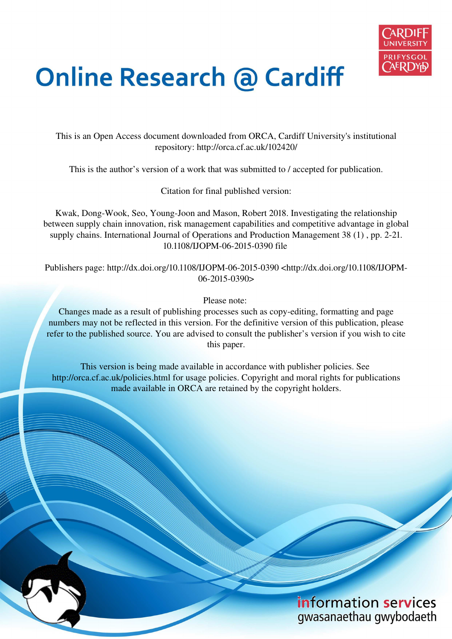

# **Online Research @ Cardiff**

This is an Open Access document downloaded from ORCA, Cardiff University's institutional repository: http://orca.cf.ac.uk/102420/

This is the author's version of a work that was submitted to / accepted for publication.

Citation for final published version:

Kwak, Dong-Wook, Seo, Young-Joon and Mason, Robert 2018. Investigating the relationship between supply chain innovation, risk management capabilities and competitive advantage in global supply chains. International Journal of Operations and Production Management 38 (1) , pp. 2-21. 10.1108/IJOPM-06-2015-0390 file

Publishers page: http://dx.doi.org/10.1108/IJOPM-06-2015-0390 <http://dx.doi.org/10.1108/IJOPM-06-2015-0390>

Please note:

Changes made as a result of publishing processes such as copy-editing, formatting and page numbers may not be reflected in this version. For the definitive version of this publication, please refer to the published source. You are advised to consult the publisher's version if you wish to cite this paper.

This version is being made available in accordance with publisher policies. See http://orca.cf.ac.uk/policies.html for usage policies. Copyright and moral rights for publications made available in ORCA are retained by the copyright holders.

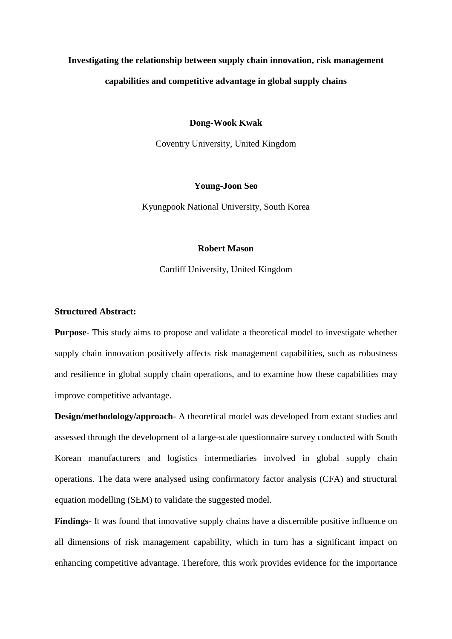# **Investigating the relationship between supply chain innovation, risk management capabilities and competitive advantage in global supply chains**

#### **Dong-Wook Kwak**

Coventry University, United Kingdom

#### **Young-Joon Seo**

Kyungpook National University, South Korea

# **Robert Mason**

Cardiff University, United Kingdom

# **Structured Abstract:**

**Purpose**- This study aims to propose and validate a theoretical model to investigate whether supply chain innovation positively affects risk management capabilities, such as robustness and resilience in global supply chain operations, and to examine how these capabilities may improve competitive advantage.

**Design/methodology/approach**- A theoretical model was developed from extant studies and assessed through the development of a large-scale questionnaire survey conducted with South Korean manufacturers and logistics intermediaries involved in global supply chain operations. The data were analysed using confirmatory factor analysis (CFA) and structural equation modelling (SEM) to validate the suggested model.

**Findings**- It was found that innovative supply chains have a discernible positive influence on all dimensions of risk management capability, which in turn has a significant impact on enhancing competitive advantage. Therefore, this work provides evidence for the importance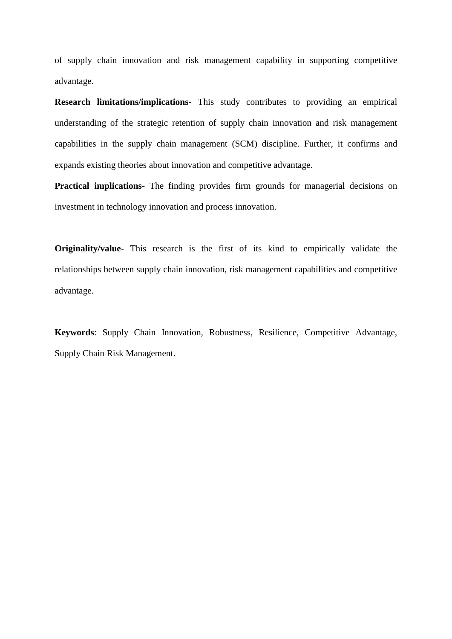of supply chain innovation and risk management capability in supporting competitive advantage.

**Research limitations/implications**- This study contributes to providing an empirical understanding of the strategic retention of supply chain innovation and risk management capabilities in the supply chain management (SCM) discipline. Further, it confirms and expands existing theories about innovation and competitive advantage.

**Practical implications**- The finding provides firm grounds for managerial decisions on investment in technology innovation and process innovation.

**Originality/value**- This research is the first of its kind to empirically validate the relationships between supply chain innovation, risk management capabilities and competitive advantage.

**Keywords**: Supply Chain Innovation, Robustness, Resilience, Competitive Advantage, Supply Chain Risk Management.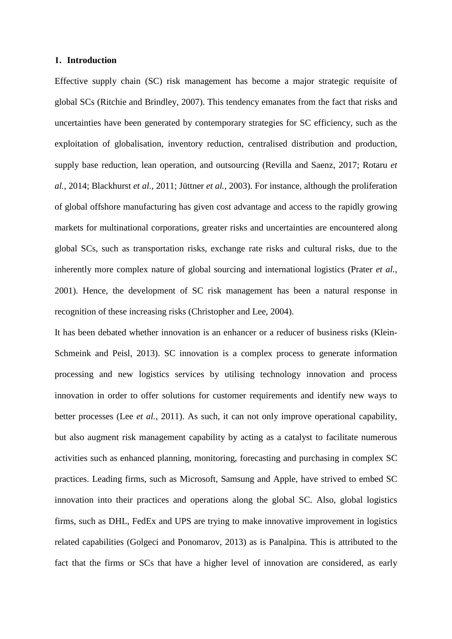#### **1. Introduction**

Effective supply chain (SC) risk management has become a major strategic requisite of global SCs (Ritchie and Brindley, 2007). This tendency emanates from the fact that risks and uncertainties have been generated by contemporary strategies for SC efficiency, such as the exploitation of globalisation, inventory reduction, centralised distribution and production, supply base reduction, lean operation, and outsourcing (Revilla and Saenz, 2017; Rotaru *et al.*, 2014; Blackhurst *et al.,* 2011; Jüttner *et al.,* 2003). For instance, although the proliferation of global offshore manufacturing has given cost advantage and access to the rapidly growing markets for multinational corporations, greater risks and uncertainties are encountered along global SCs, such as transportation risks, exchange rate risks and cultural risks, due to the inherently more complex nature of global sourcing and international logistics (Prater *et al.*, 2001). Hence, the development of SC risk management has been a natural response in recognition of these increasing risks (Christopher and Lee, 2004).

It has been debated whether innovation is an enhancer or a reducer of business risks (Klein-Schmeink and Peisl, 2013). SC innovation is a complex process to generate information processing and new logistics services by utilising technology innovation and process innovation in order to offer solutions for customer requirements and identify new ways to better processes (Lee *et al.*, 2011). As such, it can not only improve operational capability, but also augment risk management capability by acting as a catalyst to facilitate numerous activities such as enhanced planning, monitoring, forecasting and purchasing in complex SC practices. Leading firms, such as Microsoft, Samsung and Apple, have strived to embed SC innovation into their practices and operations along the global SC. Also, global logistics firms, such as DHL, FedEx and UPS are trying to make innovative improvement in logistics related capabilities (Golgeci and Ponomarov, 2013) as is Panalpina. This is attributed to the fact that the firms or SCs that have a higher level of innovation are considered, as early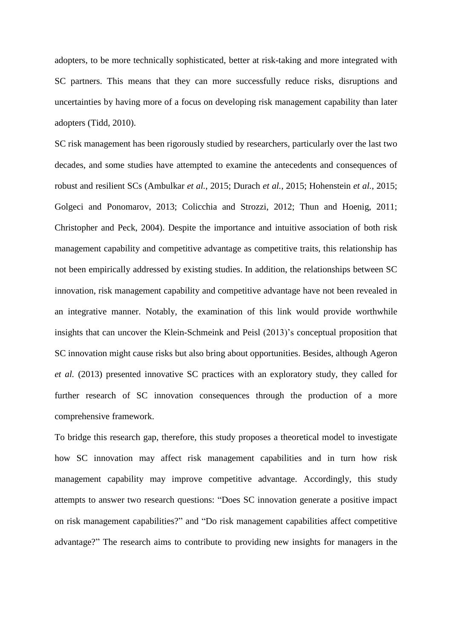adopters, to be more technically sophisticated, better at risk-taking and more integrated with SC partners. This means that they can more successfully reduce risks, disruptions and uncertainties by having more of a focus on developing risk management capability than later adopters (Tidd, 2010).

SC risk management has been rigorously studied by researchers, particularly over the last two decades, and some studies have attempted to examine the antecedents and consequences of robust and resilient SCs (Ambulkar *et al.*, 2015; Durach *et al.*, 2015; Hohenstein *et al.*, 2015; Golgeci and Ponomarov, 2013; Colicchia and Strozzi, 2012; Thun and Hoenig, 2011; Christopher and Peck, 2004). Despite the importance and intuitive association of both risk management capability and competitive advantage as competitive traits, this relationship has not been empirically addressed by existing studies. In addition, the relationships between SC innovation, risk management capability and competitive advantage have not been revealed in an integrative manner. Notably, the examination of this link would provide worthwhile insights that can uncover the Klein-Schmeink and Peisl (2013)'s conceptual proposition that SC innovation might cause risks but also bring about opportunities. Besides, although Ageron *et al.* (2013) presented innovative SC practices with an exploratory study, they called for further research of SC innovation consequences through the production of a more comprehensive framework.

To bridge this research gap, therefore, this study proposes a theoretical model to investigate how SC innovation may affect risk management capabilities and in turn how risk management capability may improve competitive advantage. Accordingly, this study attempts to answer two research questions: "Does SC innovation generate a positive impact on risk management capabilities?" and "Do risk management capabilities affect competitive advantage?" The research aims to contribute to providing new insights for managers in the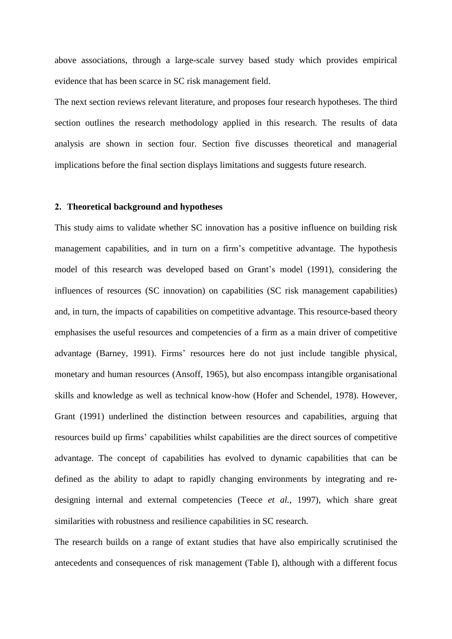above associations, through a large-scale survey based study which provides empirical evidence that has been scarce in SC risk management field.

The next section reviews relevant literature, and proposes four research hypotheses. The third section outlines the research methodology applied in this research. The results of data analysis are shown in section four. Section five discusses theoretical and managerial implications before the final section displays limitations and suggests future research.

#### **2. Theoretical background and hypotheses**

This study aims to validate whether SC innovation has a positive influence on building risk management capabilities, and in turn on a firm's competitive advantage. The hypothesis model of this research was developed based on Grant's model (1991), considering the influences of resources (SC innovation) on capabilities (SC risk management capabilities) and, in turn, the impacts of capabilities on competitive advantage. This resource-based theory emphasises the useful resources and competencies of a firm as a main driver of competitive advantage (Barney, 1991). Firms' resources here do not just include tangible physical, monetary and human resources (Ansoff, 1965), but also encompass intangible organisational skills and knowledge as well as technical know-how (Hofer and Schendel, 1978). However, Grant (1991) underlined the distinction between resources and capabilities, arguing that resources build up firms' capabilities whilst capabilities are the direct sources of competitive advantage. The concept of capabilities has evolved to dynamic capabilities that can be defined as the ability to adapt to rapidly changing environments by integrating and redesigning internal and external competencies (Teece *et al.*, 1997), which share great similarities with robustness and resilience capabilities in SC research.

The research builds on a range of extant studies that have also empirically scrutinised the antecedents and consequences of risk management (Table I), although with a different focus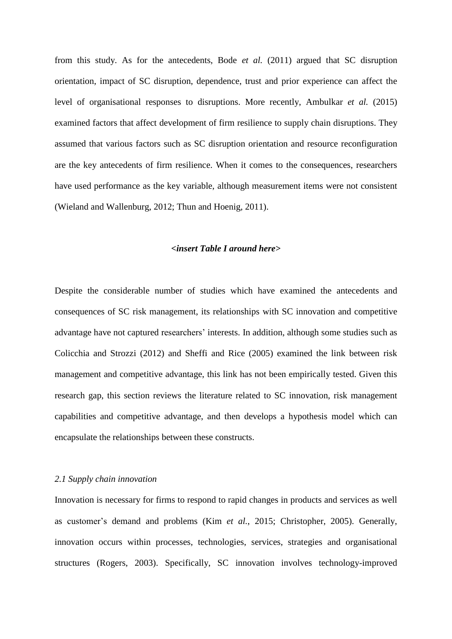from this study. As for the antecedents, Bode *et al.* (2011) argued that SC disruption orientation, impact of SC disruption, dependence, trust and prior experience can affect the level of organisational responses to disruptions. More recently, Ambulkar *et al.* (2015) examined factors that affect development of firm resilience to supply chain disruptions. They assumed that various factors such as SC disruption orientation and resource reconfiguration are the key antecedents of firm resilience. When it comes to the consequences, researchers have used performance as the key variable, although measurement items were not consistent (Wieland and Wallenburg, 2012; Thun and Hoenig, 2011).

### *<insert Table I around here>*

Despite the considerable number of studies which have examined the antecedents and consequences of SC risk management, its relationships with SC innovation and competitive advantage have not captured researchers' interests. In addition, although some studies such as Colicchia and Strozzi (2012) and Sheffi and Rice (2005) examined the link between risk management and competitive advantage, this link has not been empirically tested. Given this research gap, this section reviews the literature related to SC innovation, risk management capabilities and competitive advantage, and then develops a hypothesis model which can encapsulate the relationships between these constructs.

#### *2.1 Supply chain innovation*

Innovation is necessary for firms to respond to rapid changes in products and services as well as customer's demand and problems (Kim *et al.*, 2015; Christopher, 2005). Generally, innovation occurs within processes, technologies, services, strategies and organisational structures (Rogers, 2003). Specifically, SC innovation involves technology-improved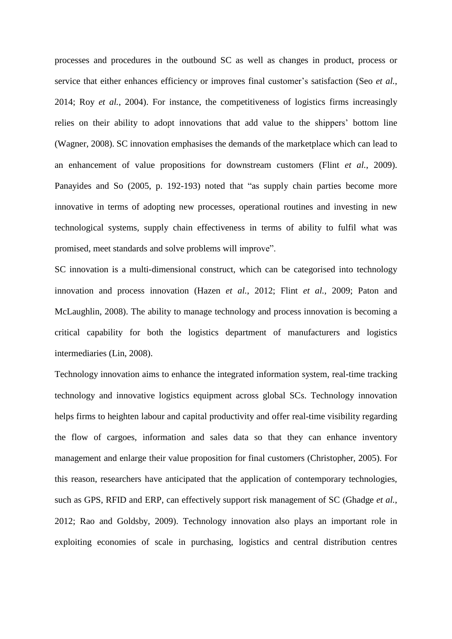processes and procedures in the outbound SC as well as changes in product, process or service that either enhances efficiency or improves final customer's satisfaction (Seo *et al.*, 2014; Roy *et al.*, 2004). For instance, the competitiveness of logistics firms increasingly relies on their ability to adopt innovations that add value to the shippers' bottom line (Wagner, 2008). SC innovation emphasises the demands of the marketplace which can lead to an enhancement of value propositions for downstream customers (Flint *et al.*, 2009). Panayides and So (2005, p. 192-193) noted that "as supply chain parties become more innovative in terms of adopting new processes, operational routines and investing in new technological systems, supply chain effectiveness in terms of ability to fulfil what was promised, meet standards and solve problems will improve".

SC innovation is a multi-dimensional construct, which can be categorised into technology innovation and process innovation (Hazen *et al.*, 2012; Flint *et al.*, 2009; Paton and McLaughlin, 2008). The ability to manage technology and process innovation is becoming a critical capability for both the logistics department of manufacturers and logistics intermediaries (Lin, 2008).

Technology innovation aims to enhance the integrated information system, real-time tracking technology and innovative logistics equipment across global SCs. Technology innovation helps firms to heighten labour and capital productivity and offer real-time visibility regarding the flow of cargoes, information and sales data so that they can enhance inventory management and enlarge their value proposition for final customers (Christopher, 2005). For this reason, researchers have anticipated that the application of contemporary technologies, such as GPS, RFID and ERP, can effectively support risk management of SC (Ghadge *et al.*, 2012; Rao and Goldsby, 2009). Technology innovation also plays an important role in exploiting economies of scale in purchasing, logistics and central distribution centres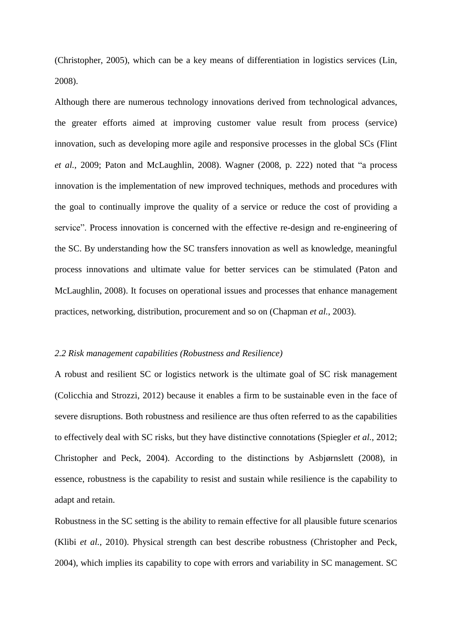(Christopher, 2005), which can be a key means of differentiation in logistics services (Lin, 2008).

Although there are numerous technology innovations derived from technological advances, the greater efforts aimed at improving customer value result from process (service) innovation, such as developing more agile and responsive processes in the global SCs (Flint *et al.*, 2009; Paton and McLaughlin, 2008). Wagner (2008, p. 222) noted that "a process innovation is the implementation of new improved techniques, methods and procedures with the goal to continually improve the quality of a service or reduce the cost of providing a service". Process innovation is concerned with the effective re-design and re-engineering of the SC. By understanding how the SC transfers innovation as well as knowledge, meaningful process innovations and ultimate value for better services can be stimulated (Paton and McLaughlin, 2008). It focuses on operational issues and processes that enhance management practices, networking, distribution, procurement and so on (Chapman *et al.*, 2003).

#### *2.2 Risk management capabilities (Robustness and Resilience)*

A robust and resilient SC or logistics network is the ultimate goal of SC risk management (Colicchia and Strozzi, 2012) because it enables a firm to be sustainable even in the face of severe disruptions. Both robustness and resilience are thus often referred to as the capabilities to effectively deal with SC risks, but they have distinctive connotations (Spiegler *et al.*, 2012; Christopher and Peck, 2004). According to the distinctions by Asbjørnslett (2008), in essence, robustness is the capability to resist and sustain while resilience is the capability to adapt and retain.

Robustness in the SC setting is the ability to remain effective for all plausible future scenarios (Klibi *et al.*, 2010). Physical strength can best describe robustness (Christopher and Peck, 2004), which implies its capability to cope with errors and variability in SC management. SC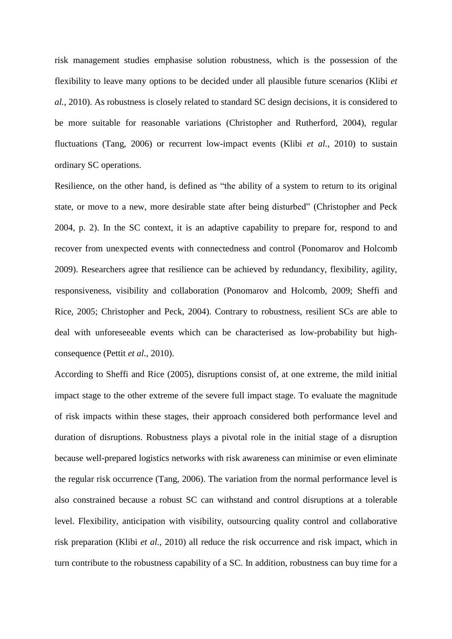risk management studies emphasise solution robustness, which is the possession of the flexibility to leave many options to be decided under all plausible future scenarios (Klibi *et al.*, 2010). As robustness is closely related to standard SC design decisions, it is considered to be more suitable for reasonable variations (Christopher and Rutherford, 2004), regular fluctuations (Tang, 2006) or recurrent low-impact events (Klibi *et al.*, 2010) to sustain ordinary SC operations.

Resilience, on the other hand, is defined as "the ability of a system to return to its original state, or move to a new, more desirable state after being disturbed" (Christopher and Peck 2004, p. 2). In the SC context, it is an adaptive capability to prepare for, respond to and recover from unexpected events with connectedness and control (Ponomarov and Holcomb 2009). Researchers agree that resilience can be achieved by redundancy, flexibility, agility, responsiveness, visibility and collaboration (Ponomarov and Holcomb, 2009; Sheffi and Rice, 2005; Christopher and Peck, 2004). Contrary to robustness, resilient SCs are able to deal with unforeseeable events which can be characterised as low-probability but highconsequence (Pettit *et al.*, 2010).

According to Sheffi and Rice (2005), disruptions consist of, at one extreme, the mild initial impact stage to the other extreme of the severe full impact stage. To evaluate the magnitude of risk impacts within these stages, their approach considered both performance level and duration of disruptions. Robustness plays a pivotal role in the initial stage of a disruption because well-prepared logistics networks with risk awareness can minimise or even eliminate the regular risk occurrence (Tang, 2006). The variation from the normal performance level is also constrained because a robust SC can withstand and control disruptions at a tolerable level. Flexibility, anticipation with visibility, outsourcing quality control and collaborative risk preparation (Klibi *et al.*, 2010) all reduce the risk occurrence and risk impact, which in turn contribute to the robustness capability of a SC. In addition, robustness can buy time for a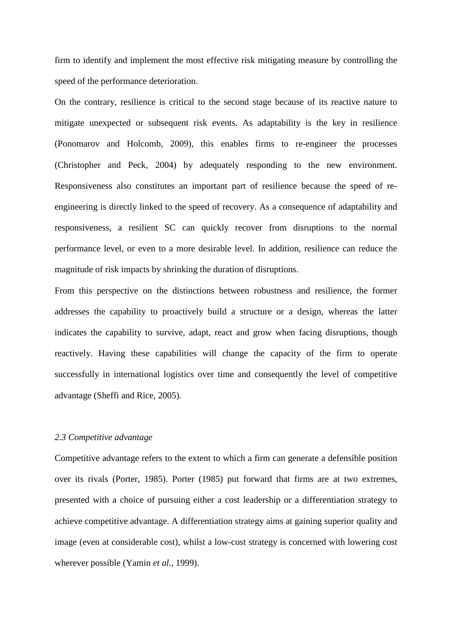firm to identify and implement the most effective risk mitigating measure by controlling the speed of the performance deterioration.

On the contrary, resilience is critical to the second stage because of its reactive nature to mitigate unexpected or subsequent risk events. As adaptability is the key in resilience (Ponomarov and Holcomb, 2009), this enables firms to re-engineer the processes (Christopher and Peck, 2004) by adequately responding to the new environment. Responsiveness also constitutes an important part of resilience because the speed of reengineering is directly linked to the speed of recovery. As a consequence of adaptability and responsiveness, a resilient SC can quickly recover from disruptions to the normal performance level, or even to a more desirable level. In addition, resilience can reduce the magnitude of risk impacts by shrinking the duration of disruptions.

From this perspective on the distinctions between robustness and resilience, the former addresses the capability to proactively build a structure or a design, whereas the latter indicates the capability to survive, adapt, react and grow when facing disruptions, though reactively. Having these capabilities will change the capacity of the firm to operate successfully in international logistics over time and consequently the level of competitive advantage (Sheffi and Rice, 2005).

# *2.3 Competitive advantage*

Competitive advantage refers to the extent to which a firm can generate a defensible position over its rivals (Porter, 1985). Porter (1985) put forward that firms are at two extremes, presented with a choice of pursuing either a cost leadership or a differentiation strategy to achieve competitive advantage. A differentiation strategy aims at gaining superior quality and image (even at considerable cost), whilst a low-cost strategy is concerned with lowering cost wherever possible (Yamin *et al.*, 1999).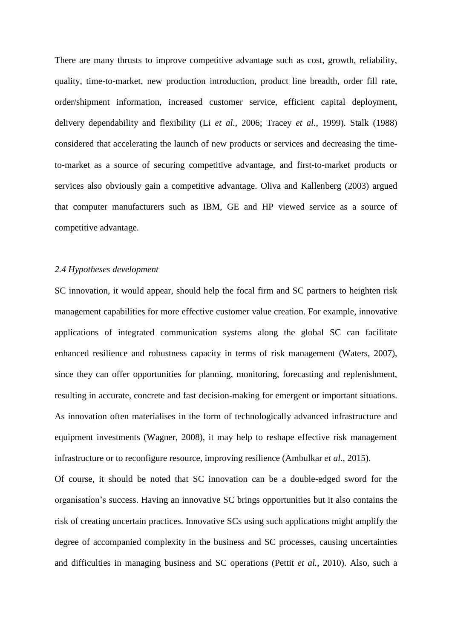There are many thrusts to improve competitive advantage such as cost, growth, reliability, quality, time-to-market, new production introduction, product line breadth, order fill rate, order/shipment information, increased customer service, efficient capital deployment, delivery dependability and flexibility (Li *et al.,* 2006; Tracey *et al.*, 1999). Stalk (1988) considered that accelerating the launch of new products or services and decreasing the timeto-market as a source of securing competitive advantage, and first-to-market products or services also obviously gain a competitive advantage. Oliva and Kallenberg (2003) argued that computer manufacturers such as IBM, GE and HP viewed service as a source of competitive advantage.

# *2.4 Hypotheses development*

SC innovation, it would appear, should help the focal firm and SC partners to heighten risk management capabilities for more effective customer value creation. For example, innovative applications of integrated communication systems along the global SC can facilitate enhanced resilience and robustness capacity in terms of risk management (Waters, 2007), since they can offer opportunities for planning, monitoring, forecasting and replenishment, resulting in accurate, concrete and fast decision-making for emergent or important situations. As innovation often materialises in the form of technologically advanced infrastructure and equipment investments (Wagner, 2008), it may help to reshape effective risk management infrastructure or to reconfigure resource, improving resilience (Ambulkar *et al.*, 2015).

Of course, it should be noted that SC innovation can be a double-edged sword for the organisation's success. Having an innovative SC brings opportunities but it also contains the risk of creating uncertain practices. Innovative SCs using such applications might amplify the degree of accompanied complexity in the business and SC processes, causing uncertainties and difficulties in managing business and SC operations (Pettit *et al.*, 2010). Also, such a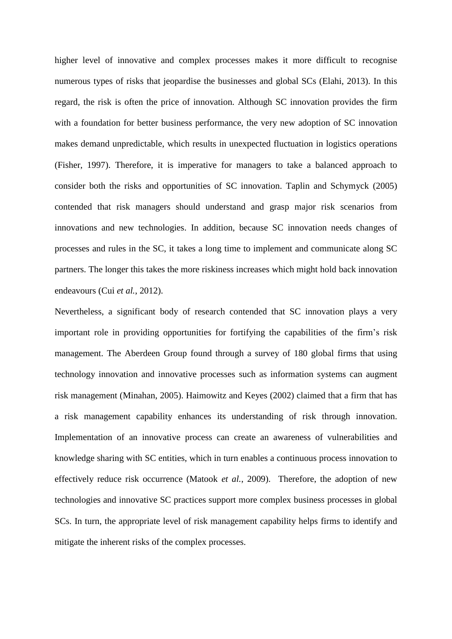higher level of innovative and complex processes makes it more difficult to recognise numerous types of risks that jeopardise the businesses and global SCs (Elahi, 2013). In this regard, the risk is often the price of innovation. Although SC innovation provides the firm with a foundation for better business performance, the very new adoption of SC innovation makes demand unpredictable, which results in unexpected fluctuation in logistics operations (Fisher, 1997). Therefore, it is imperative for managers to take a balanced approach to consider both the risks and opportunities of SC innovation. Taplin and Schymyck (2005) contended that risk managers should understand and grasp major risk scenarios from innovations and new technologies. In addition, because SC innovation needs changes of processes and rules in the SC, it takes a long time to implement and communicate along SC partners. The longer this takes the more riskiness increases which might hold back innovation endeavours (Cui *et al.*, 2012).

Nevertheless, a significant body of research contended that SC innovation plays a very important role in providing opportunities for fortifying the capabilities of the firm's risk management. The Aberdeen Group found through a survey of 180 global firms that using technology innovation and innovative processes such as information systems can augment risk management (Minahan, 2005). Haimowitz and Keyes (2002) claimed that a firm that has a risk management capability enhances its understanding of risk through innovation. Implementation of an innovative process can create an awareness of vulnerabilities and knowledge sharing with SC entities, which in turn enables a continuous process innovation to effectively reduce risk occurrence (Matook *et al.*, 2009). Therefore, the adoption of new technologies and innovative SC practices support more complex business processes in global SCs. In turn, the appropriate level of risk management capability helps firms to identify and mitigate the inherent risks of the complex processes.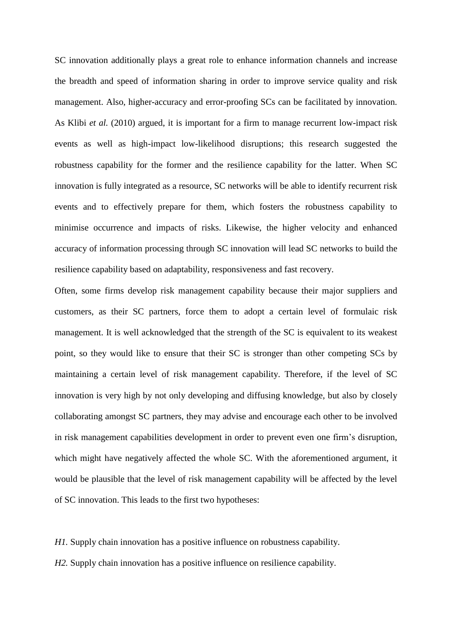SC innovation additionally plays a great role to enhance information channels and increase the breadth and speed of information sharing in order to improve service quality and risk management. Also, higher-accuracy and error-proofing SCs can be facilitated by innovation. As Klibi *et al.* (2010) argued, it is important for a firm to manage recurrent low-impact risk events as well as high-impact low-likelihood disruptions; this research suggested the robustness capability for the former and the resilience capability for the latter. When SC innovation is fully integrated as a resource, SC networks will be able to identify recurrent risk events and to effectively prepare for them, which fosters the robustness capability to minimise occurrence and impacts of risks. Likewise, the higher velocity and enhanced accuracy of information processing through SC innovation will lead SC networks to build the resilience capability based on adaptability, responsiveness and fast recovery.

Often, some firms develop risk management capability because their major suppliers and customers, as their SC partners, force them to adopt a certain level of formulaic risk management. It is well acknowledged that the strength of the SC is equivalent to its weakest point, so they would like to ensure that their SC is stronger than other competing SCs by maintaining a certain level of risk management capability. Therefore, if the level of SC innovation is very high by not only developing and diffusing knowledge, but also by closely collaborating amongst SC partners, they may advise and encourage each other to be involved in risk management capabilities development in order to prevent even one firm's disruption, which might have negatively affected the whole SC. With the aforementioned argument, it would be plausible that the level of risk management capability will be affected by the level of SC innovation. This leads to the first two hypotheses:

*H1.* Supply chain innovation has a positive influence on robustness capability.

*H2.* Supply chain innovation has a positive influence on resilience capability.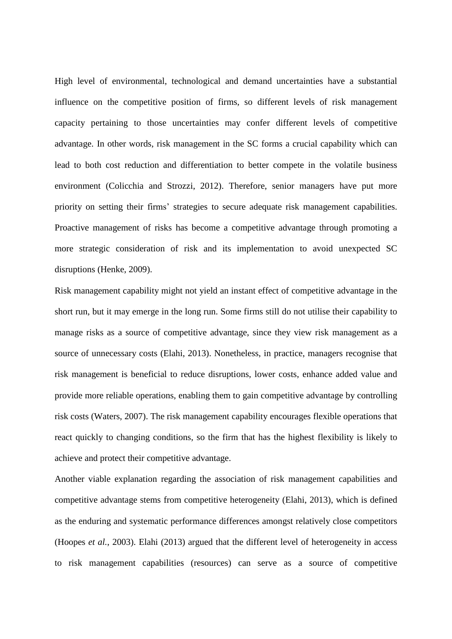High level of environmental, technological and demand uncertainties have a substantial influence on the competitive position of firms, so different levels of risk management capacity pertaining to those uncertainties may confer different levels of competitive advantage. In other words, risk management in the SC forms a crucial capability which can lead to both cost reduction and differentiation to better compete in the volatile business environment (Colicchia and Strozzi, 2012). Therefore, senior managers have put more priority on setting their firms' strategies to secure adequate risk management capabilities. Proactive management of risks has become a competitive advantage through promoting a more strategic consideration of risk and its implementation to avoid unexpected SC disruptions (Henke, 2009).

Risk management capability might not yield an instant effect of competitive advantage in the short run, but it may emerge in the long run. Some firms still do not utilise their capability to manage risks as a source of competitive advantage, since they view risk management as a source of unnecessary costs (Elahi, 2013). Nonetheless, in practice, managers recognise that risk management is beneficial to reduce disruptions, lower costs, enhance added value and provide more reliable operations, enabling them to gain competitive advantage by controlling risk costs (Waters, 2007). The risk management capability encourages flexible operations that react quickly to changing conditions, so the firm that has the highest flexibility is likely to achieve and protect their competitive advantage.

Another viable explanation regarding the association of risk management capabilities and competitive advantage stems from competitive heterogeneity (Elahi, 2013), which is defined as the enduring and systematic performance differences amongst relatively close competitors (Hoopes *et al.*, 2003). Elahi (2013) argued that the different level of heterogeneity in access to risk management capabilities (resources) can serve as a source of competitive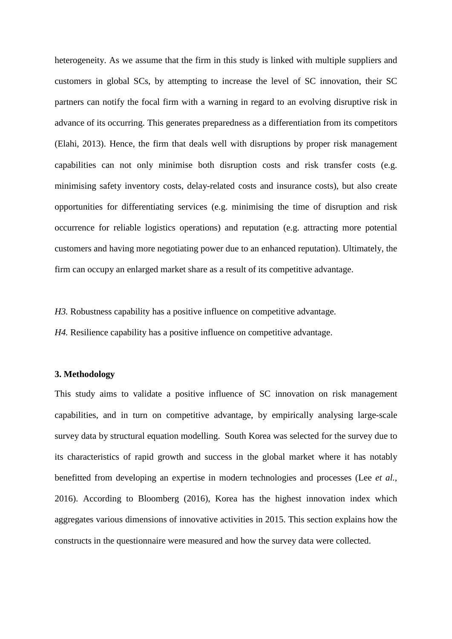heterogeneity. As we assume that the firm in this study is linked with multiple suppliers and customers in global SCs, by attempting to increase the level of SC innovation, their SC partners can notify the focal firm with a warning in regard to an evolving disruptive risk in advance of its occurring. This generates preparedness as a differentiation from its competitors (Elahi, 2013). Hence, the firm that deals well with disruptions by proper risk management capabilities can not only minimise both disruption costs and risk transfer costs (e.g. minimising safety inventory costs, delay-related costs and insurance costs), but also create opportunities for differentiating services (e.g. minimising the time of disruption and risk occurrence for reliable logistics operations) and reputation (e.g. attracting more potential customers and having more negotiating power due to an enhanced reputation). Ultimately, the firm can occupy an enlarged market share as a result of its competitive advantage.

*H3.* Robustness capability has a positive influence on competitive advantage.

*H4.* Resilience capability has a positive influence on competitive advantage.

#### **3. Methodology**

This study aims to validate a positive influence of SC innovation on risk management capabilities, and in turn on competitive advantage, by empirically analysing large-scale survey data by structural equation modelling. South Korea was selected for the survey due to its characteristics of rapid growth and success in the global market where it has notably benefitted from developing an expertise in modern technologies and processes (Lee *et al.*, 2016). According to Bloomberg (2016), Korea has the highest innovation index which aggregates various dimensions of innovative activities in 2015. This section explains how the constructs in the questionnaire were measured and how the survey data were collected.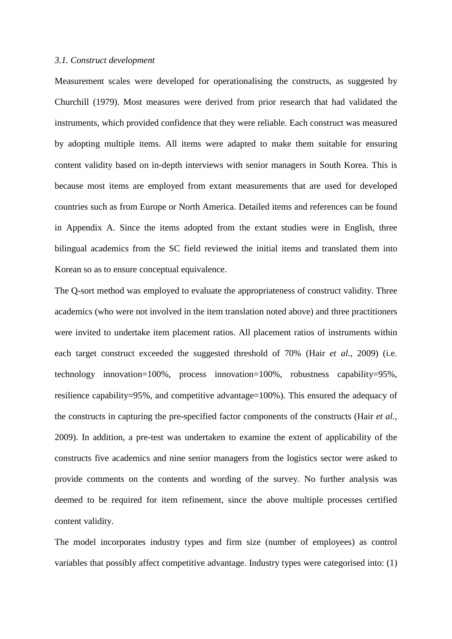#### *3.1. Construct development*

Measurement scales were developed for operationalising the constructs, as suggested by Churchill (1979). Most measures were derived from prior research that had validated the instruments, which provided confidence that they were reliable. Each construct was measured by adopting multiple items. All items were adapted to make them suitable for ensuring content validity based on in-depth interviews with senior managers in South Korea. This is because most items are employed from extant measurements that are used for developed countries such as from Europe or North America. Detailed items and references can be found in Appendix A. Since the items adopted from the extant studies were in English, three bilingual academics from the SC field reviewed the initial items and translated them into Korean so as to ensure conceptual equivalence.

The Q-sort method was employed to evaluate the appropriateness of construct validity. Three academics (who were not involved in the item translation noted above) and three practitioners were invited to undertake item placement ratios. All placement ratios of instruments within each target construct exceeded the suggested threshold of 70% (Hair *et al.*, 2009) (i.e. technology innovation=100%, process innovation=100%, robustness capability=95%, resilience capability=95%, and competitive advantage=100%). This ensured the adequacy of the constructs in capturing the pre-specified factor components of the constructs (Hair *et al.*, 2009). In addition, a pre-test was undertaken to examine the extent of applicability of the constructs five academics and nine senior managers from the logistics sector were asked to provide comments on the contents and wording of the survey. No further analysis was deemed to be required for item refinement, since the above multiple processes certified content validity.

The model incorporates industry types and firm size (number of employees) as control variables that possibly affect competitive advantage. Industry types were categorised into: (1)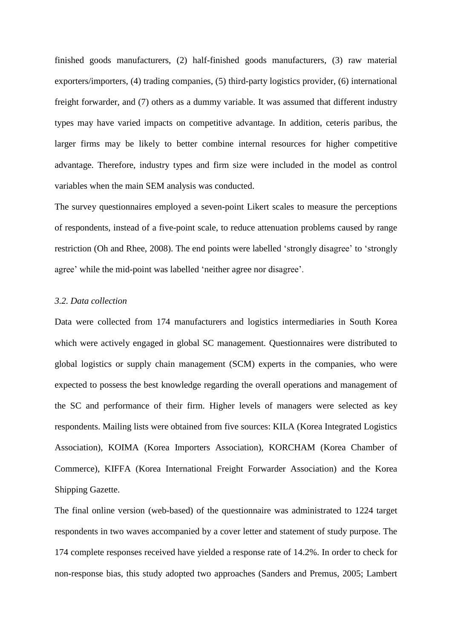finished goods manufacturers, (2) half-finished goods manufacturers, (3) raw material exporters/importers, (4) trading companies, (5) third-party logistics provider, (6) international freight forwarder, and (7) others as a dummy variable. It was assumed that different industry types may have varied impacts on competitive advantage. In addition, ceteris paribus, the larger firms may be likely to better combine internal resources for higher competitive advantage. Therefore, industry types and firm size were included in the model as control variables when the main SEM analysis was conducted.

The survey questionnaires employed a seven-point Likert scales to measure the perceptions of respondents, instead of a five-point scale, to reduce attenuation problems caused by range restriction (Oh and Rhee, 2008). The end points were labelled 'strongly disagree' to 'strongly agree' while the mid-point was labelled 'neither agree nor disagree'.

#### *3.2. Data collection*

Data were collected from 174 manufacturers and logistics intermediaries in South Korea which were actively engaged in global SC management. Questionnaires were distributed to global logistics or supply chain management (SCM) experts in the companies, who were expected to possess the best knowledge regarding the overall operations and management of the SC and performance of their firm. Higher levels of managers were selected as key respondents. Mailing lists were obtained from five sources: KILA (Korea Integrated Logistics Association), KOIMA (Korea Importers Association), KORCHAM (Korea Chamber of Commerce), KIFFA (Korea International Freight Forwarder Association) and the Korea Shipping Gazette.

The final online version (web-based) of the questionnaire was administrated to 1224 target respondents in two waves accompanied by a cover letter and statement of study purpose. The 174 complete responses received have yielded a response rate of 14.2%. In order to check for non-response bias, this study adopted two approaches (Sanders and Premus, 2005; Lambert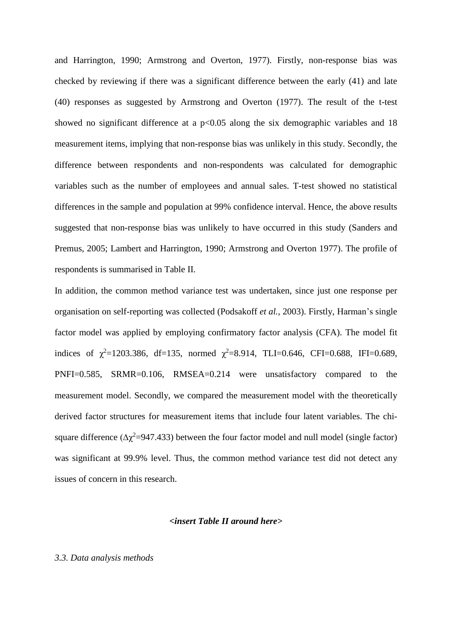and Harrington, 1990; Armstrong and Overton, 1977). Firstly, non-response bias was checked by reviewing if there was a significant difference between the early (41) and late (40) responses as suggested by Armstrong and Overton (1977). The result of the t-test showed no significant difference at a  $p<0.05$  along the six demographic variables and 18 measurement items, implying that non-response bias was unlikely in this study. Secondly, the difference between respondents and non-respondents was calculated for demographic variables such as the number of employees and annual sales. T-test showed no statistical differences in the sample and population at 99% confidence interval. Hence, the above results suggested that non-response bias was unlikely to have occurred in this study (Sanders and Premus, 2005; Lambert and Harrington, 1990; Armstrong and Overton 1977). The profile of respondents is summarised in Table II.

In addition, the common method variance test was undertaken, since just one response per organisation on self-reporting was collected (Podsakoff *et al.*, 2003). Firstly, Harman's single factor model was applied by employing confirmatory factor analysis (CFA). The model fit indices of  $\chi^2$ =1203.386, df=135, normed  $\chi^2$ =8.914, TLI=0.646, CFI=0.688, IFI=0.689, PNFI=0.585, SRMR=0.106, RMSEA=0.214 were unsatisfactory compared to the measurement model. Secondly, we compared the measurement model with the theoretically derived factor structures for measurement items that include four latent variables. The chisquare difference ( $\Delta \chi^2$ =947.433) between the four factor model and null model (single factor) was significant at 99.9% level. Thus, the common method variance test did not detect any issues of concern in this research.

# *<insert Table II around here>*

# *3.3. Data analysis methods*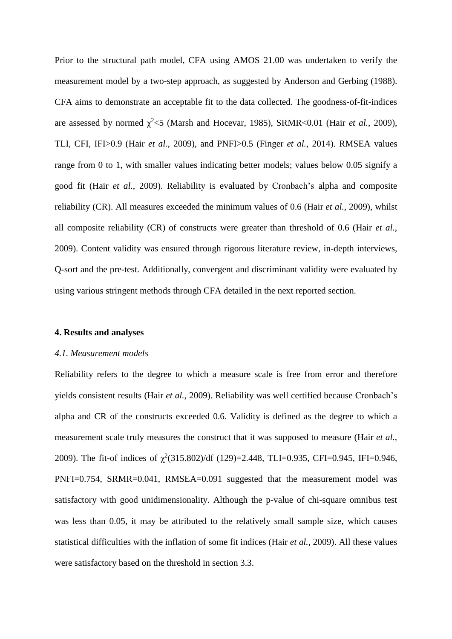Prior to the structural path model, CFA using AMOS 21.00 was undertaken to verify the measurement model by a two-step approach, as suggested by Anderson and Gerbing (1988). CFA aims to demonstrate an acceptable fit to the data collected. The goodness-of-fit-indices are assessed by normed  $\chi^2$  <5 (Marsh and Hocevar, 1985), SRMR<0.01 (Hair *et al.*, 2009), TLI, CFI, IFI>0.9 (Hair *et al.*, 2009), and PNFI>0.5 (Finger *et al.*, 2014). RMSEA values range from 0 to 1, with smaller values indicating better models; values below 0.05 signify a good fit (Hair *et al.*, 2009). Reliability is evaluated by Cronbach's alpha and composite reliability (CR). All measures exceeded the minimum values of 0.6 (Hair *et al.*, 2009), whilst all composite reliability (CR) of constructs were greater than threshold of 0.6 (Hair *et al.*, 2009). Content validity was ensured through rigorous literature review, in-depth interviews, Q-sort and the pre-test. Additionally, convergent and discriminant validity were evaluated by using various stringent methods through CFA detailed in the next reported section.

#### **4. Results and analyses**

#### *4.1. Measurement models*

Reliability refers to the degree to which a measure scale is free from error and therefore yields consistent results (Hair *et al.*, 2009). Reliability was well certified because Cronbach's alpha and CR of the constructs exceeded 0.6. Validity is defined as the degree to which a measurement scale truly measures the construct that it was supposed to measure (Hair *et al.*, 2009). The fit-of indices of  $\chi^2(315.802)/df$  (129)=2.448, TLI=0.935, CFI=0.945, IFI=0.946, PNFI=0.754, SRMR=0.041, RMSEA=0.091 suggested that the measurement model was satisfactory with good unidimensionality. Although the p-value of chi-square omnibus test was less than 0.05, it may be attributed to the relatively small sample size, which causes statistical difficulties with the inflation of some fit indices (Hair *et al.*, 2009). All these values were satisfactory based on the threshold in section 3.3.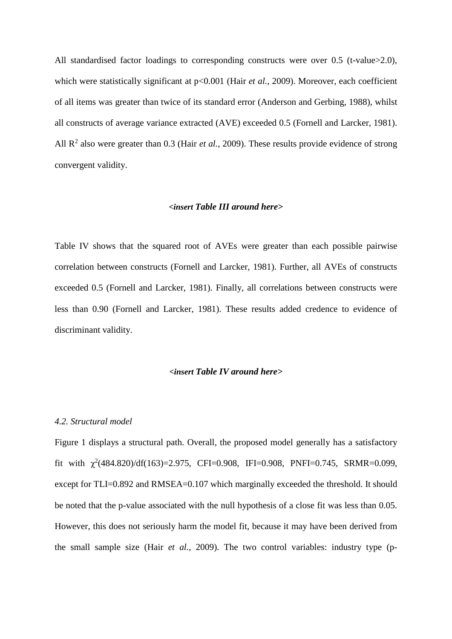All standardised factor loadings to corresponding constructs were over 0.5 (t-value>2.0), which were statistically significant at  $p<0.001$  (Hair *et al.*, 2009). Moreover, each coefficient of all items was greater than twice of its standard error (Anderson and Gerbing, 1988), whilst all constructs of average variance extracted (AVE) exceeded 0.5 (Fornell and Larcker, 1981). All R<sup>2</sup> also were greater than 0.3 (Hair *et al.*, 2009). These results provide evidence of strong convergent validity.

#### *<insert Table III around here>*

Table IV shows that the squared root of AVEs were greater than each possible pairwise correlation between constructs (Fornell and Larcker, 1981). Further, all AVEs of constructs exceeded 0.5 (Fornell and Larcker, 1981). Finally, all correlations between constructs were less than 0.90 (Fornell and Larcker, 1981). These results added credence to evidence of discriminant validity.

# *<insert Table IV around here>*

#### *4.2. Structural model*

Figure 1 displays a structural path. Overall, the proposed model generally has a satisfactory fit with  $\chi^2(484.820)/df(163)=2.975$ , CFI=0.908, IFI=0.908, PNFI=0.745, SRMR=0.099, except for TLI=0.892 and RMSEA=0.107 which marginally exceeded the threshold. It should be noted that the p-value associated with the null hypothesis of a close fit was less than 0.05. However, this does not seriously harm the model fit, because it may have been derived from the small sample size (Hair *et al.*, 2009). The two control variables: industry type (p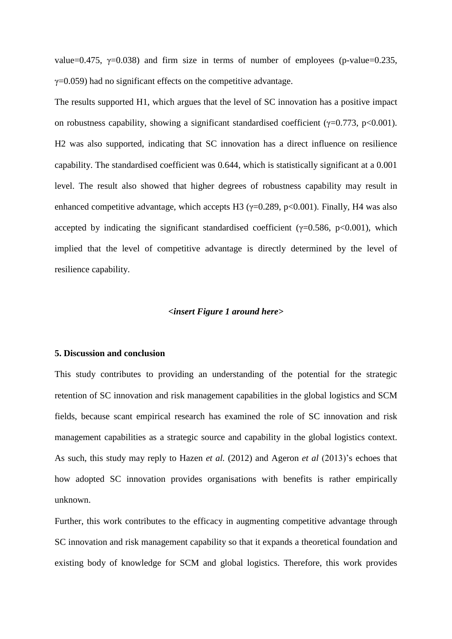value=0.475,  $\gamma$ =0.038) and firm size in terms of number of employees (p-value=0.235,  $\gamma$ =0.059) had no significant effects on the competitive advantage.

The results supported H1, which argues that the level of SC innovation has a positive impact on robustness capability, showing a significant standardised coefficient ( $\gamma$ =0.773, p<0.001). H2 was also supported, indicating that SC innovation has a direct influence on resilience capability. The standardised coefficient was 0.644, which is statistically significant at a 0.001 level. The result also showed that higher degrees of robustness capability may result in enhanced competitive advantage, which accepts H3 ( $\gamma$ =0.289, p<0.001). Finally, H4 was also accepted by indicating the significant standardised coefficient ( $\gamma$ =0.586, p<0.001), which implied that the level of competitive advantage is directly determined by the level of resilience capability.

# *<insert Figure 1 around here>*

#### **5. Discussion and conclusion**

This study contributes to providing an understanding of the potential for the strategic retention of SC innovation and risk management capabilities in the global logistics and SCM fields, because scant empirical research has examined the role of SC innovation and risk management capabilities as a strategic source and capability in the global logistics context. As such, this study may reply to Hazen *et al.* (2012) and Ageron *et al* (2013)'s echoes that how adopted SC innovation provides organisations with benefits is rather empirically unknown.

Further, this work contributes to the efficacy in augmenting competitive advantage through SC innovation and risk management capability so that it expands a theoretical foundation and existing body of knowledge for SCM and global logistics. Therefore, this work provides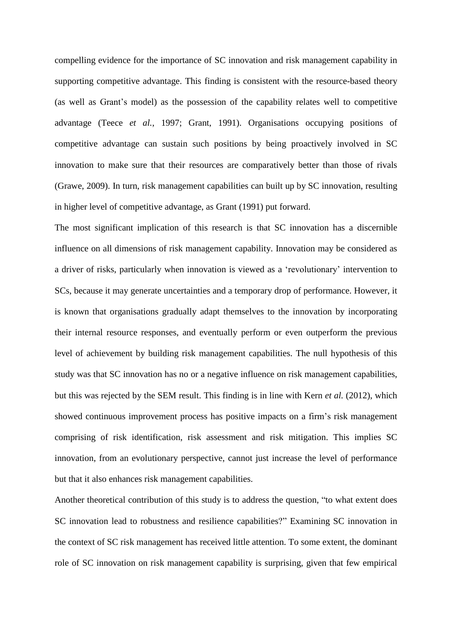compelling evidence for the importance of SC innovation and risk management capability in supporting competitive advantage. This finding is consistent with the resource-based theory (as well as Grant's model) as the possession of the capability relates well to competitive advantage (Teece *et al.*, 1997; Grant, 1991). Organisations occupying positions of competitive advantage can sustain such positions by being proactively involved in SC innovation to make sure that their resources are comparatively better than those of rivals (Grawe, 2009). In turn, risk management capabilities can built up by SC innovation, resulting in higher level of competitive advantage, as Grant (1991) put forward.

The most significant implication of this research is that SC innovation has a discernible influence on all dimensions of risk management capability. Innovation may be considered as a driver of risks, particularly when innovation is viewed as a 'revolutionary' intervention to SCs, because it may generate uncertainties and a temporary drop of performance. However, it is known that organisations gradually adapt themselves to the innovation by incorporating their internal resource responses, and eventually perform or even outperform the previous level of achievement by building risk management capabilities. The null hypothesis of this study was that SC innovation has no or a negative influence on risk management capabilities, but this was rejected by the SEM result. This finding is in line with Kern *et al.* (2012), which showed continuous improvement process has positive impacts on a firm's risk management comprising of risk identification, risk assessment and risk mitigation. This implies SC innovation, from an evolutionary perspective, cannot just increase the level of performance but that it also enhances risk management capabilities.

Another theoretical contribution of this study is to address the question, "to what extent does SC innovation lead to robustness and resilience capabilities?" Examining SC innovation in the context of SC risk management has received little attention. To some extent, the dominant role of SC innovation on risk management capability is surprising, given that few empirical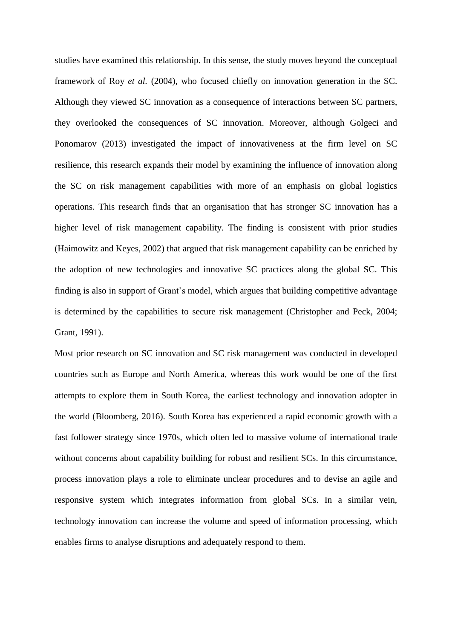studies have examined this relationship. In this sense, the study moves beyond the conceptual framework of Roy *et al.* (2004), who focused chiefly on innovation generation in the SC. Although they viewed SC innovation as a consequence of interactions between SC partners, they overlooked the consequences of SC innovation. Moreover, although Golgeci and Ponomarov (2013) investigated the impact of innovativeness at the firm level on SC resilience, this research expands their model by examining the influence of innovation along the SC on risk management capabilities with more of an emphasis on global logistics operations. This research finds that an organisation that has stronger SC innovation has a higher level of risk management capability. The finding is consistent with prior studies (Haimowitz and Keyes, 2002) that argued that risk management capability can be enriched by the adoption of new technologies and innovative SC practices along the global SC. This finding is also in support of Grant's model, which argues that building competitive advantage is determined by the capabilities to secure risk management (Christopher and Peck, 2004; Grant, 1991).

Most prior research on SC innovation and SC risk management was conducted in developed countries such as Europe and North America, whereas this work would be one of the first attempts to explore them in South Korea, the earliest technology and innovation adopter in the world (Bloomberg, 2016). South Korea has experienced a rapid economic growth with a fast follower strategy since 1970s, which often led to massive volume of international trade without concerns about capability building for robust and resilient SCs. In this circumstance, process innovation plays a role to eliminate unclear procedures and to devise an agile and responsive system which integrates information from global SCs. In a similar vein, technology innovation can increase the volume and speed of information processing, which enables firms to analyse disruptions and adequately respond to them.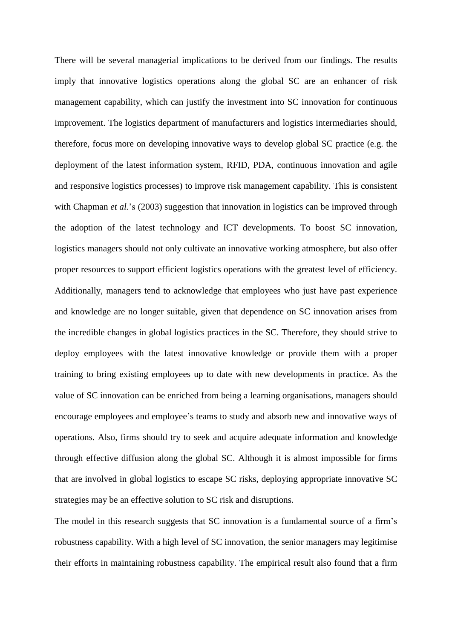There will be several managerial implications to be derived from our findings. The results imply that innovative logistics operations along the global SC are an enhancer of risk management capability, which can justify the investment into SC innovation for continuous improvement. The logistics department of manufacturers and logistics intermediaries should, therefore, focus more on developing innovative ways to develop global SC practice (e.g. the deployment of the latest information system, RFID, PDA, continuous innovation and agile and responsive logistics processes) to improve risk management capability. This is consistent with Chapman *et al.*'s (2003) suggestion that innovation in logistics can be improved through the adoption of the latest technology and ICT developments. To boost SC innovation, logistics managers should not only cultivate an innovative working atmosphere, but also offer proper resources to support efficient logistics operations with the greatest level of efficiency. Additionally, managers tend to acknowledge that employees who just have past experience and knowledge are no longer suitable, given that dependence on SC innovation arises from the incredible changes in global logistics practices in the SC. Therefore, they should strive to deploy employees with the latest innovative knowledge or provide them with a proper training to bring existing employees up to date with new developments in practice. As the value of SC innovation can be enriched from being a learning organisations, managers should encourage employees and employee's teams to study and absorb new and innovative ways of operations. Also, firms should try to seek and acquire adequate information and knowledge through effective diffusion along the global SC. Although it is almost impossible for firms that are involved in global logistics to escape SC risks, deploying appropriate innovative SC strategies may be an effective solution to SC risk and disruptions.

The model in this research suggests that SC innovation is a fundamental source of a firm's robustness capability. With a high level of SC innovation, the senior managers may legitimise their efforts in maintaining robustness capability. The empirical result also found that a firm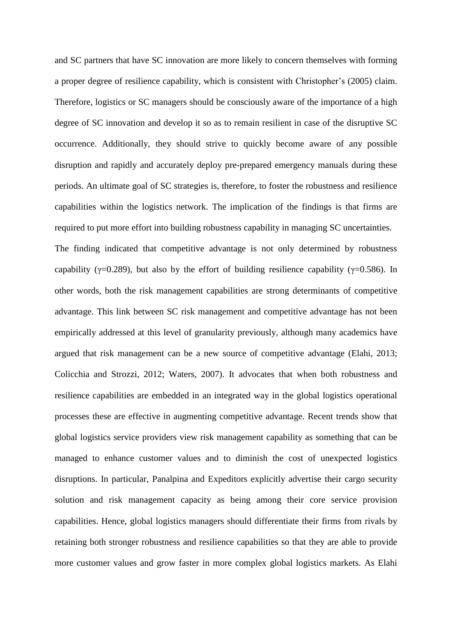and SC partners that have SC innovation are more likely to concern themselves with forming a proper degree of resilience capability, which is consistent with Christopher's (2005) claim. Therefore, logistics or SC managers should be consciously aware of the importance of a high degree of SC innovation and develop it so as to remain resilient in case of the disruptive SC occurrence. Additionally, they should strive to quickly become aware of any possible disruption and rapidly and accurately deploy pre-prepared emergency manuals during these periods. An ultimate goal of SC strategies is, therefore, to foster the robustness and resilience capabilities within the logistics network. The implication of the findings is that firms are required to put more effort into building robustness capability in managing SC uncertainties.

The finding indicated that competitive advantage is not only determined by robustness capability ( $\gamma$ =0.289), but also by the effort of building resilience capability ( $\gamma$ =0.586). In other words, both the risk management capabilities are strong determinants of competitive advantage. This link between SC risk management and competitive advantage has not been empirically addressed at this level of granularity previously, although many academics have argued that risk management can be a new source of competitive advantage (Elahi, 2013; Colicchia and Strozzi, 2012; Waters, 2007). It advocates that when both robustness and resilience capabilities are embedded in an integrated way in the global logistics operational processes these are effective in augmenting competitive advantage. Recent trends show that global logistics service providers view risk management capability as something that can be managed to enhance customer values and to diminish the cost of unexpected logistics disruptions. In particular, Panalpina and Expeditors explicitly advertise their cargo security solution and risk management capacity as being among their core service provision capabilities. Hence, global logistics managers should differentiate their firms from rivals by retaining both stronger robustness and resilience capabilities so that they are able to provide more customer values and grow faster in more complex global logistics markets. As Elahi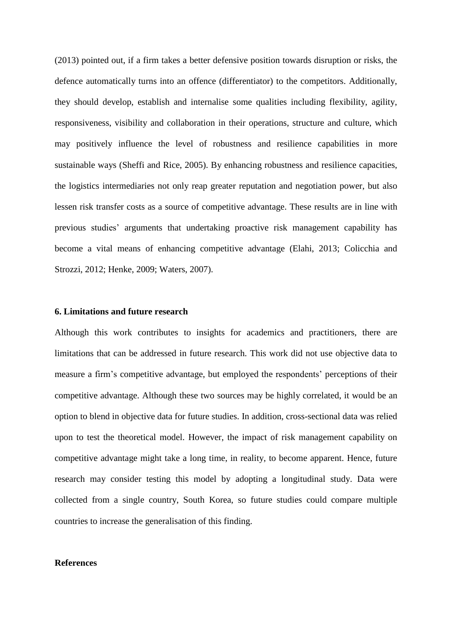(2013) pointed out, if a firm takes a better defensive position towards disruption or risks, the defence automatically turns into an offence (differentiator) to the competitors. Additionally, they should develop, establish and internalise some qualities including flexibility, agility, responsiveness, visibility and collaboration in their operations, structure and culture, which may positively influence the level of robustness and resilience capabilities in more sustainable ways (Sheffi and Rice, 2005). By enhancing robustness and resilience capacities, the logistics intermediaries not only reap greater reputation and negotiation power, but also lessen risk transfer costs as a source of competitive advantage. These results are in line with previous studies' arguments that undertaking proactive risk management capability has become a vital means of enhancing competitive advantage (Elahi, 2013; Colicchia and Strozzi, 2012; Henke, 2009; Waters, 2007).

#### **6. Limitations and future research**

Although this work contributes to insights for academics and practitioners, there are limitations that can be addressed in future research. This work did not use objective data to measure a firm's competitive advantage, but employed the respondents' perceptions of their competitive advantage. Although these two sources may be highly correlated, it would be an option to blend in objective data for future studies. In addition, cross-sectional data was relied upon to test the theoretical model. However, the impact of risk management capability on competitive advantage might take a long time, in reality, to become apparent. Hence, future research may consider testing this model by adopting a longitudinal study. Data were collected from a single country, South Korea, so future studies could compare multiple countries to increase the generalisation of this finding.

# **References**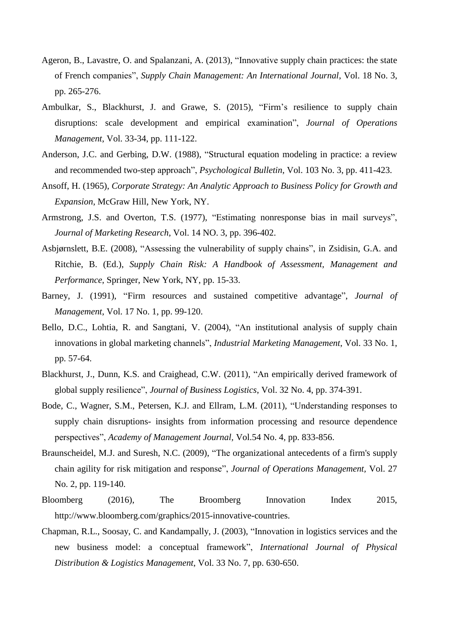- Ageron, B., Lavastre, O. and Spalanzani, A. (2013), "Innovative supply chain practices: the state of French companies", *Supply Chain Management: An International Journal*, Vol. 18 No. 3, pp. 265-276.
- Ambulkar, S., Blackhurst, J. and Grawe, S. (2015), "Firm's resilience to supply chain disruptions: scale development and empirical examination", *Journal of Operations Management*, Vol. 33-34, pp. 111-122.
- Anderson, J.C. and Gerbing, D.W. (1988), "Structural equation modeling in practice: a review and recommended two-step approach", *Psychological Bulletin*, Vol. 103 No. 3, pp. 411-423.
- Ansoff, H. (1965), *Corporate Strategy: An Analytic Approach to Business Policy for Growth and Expansion*, McGraw Hill, New York, NY.
- Armstrong, J.S. and Overton, T.S. (1977), "Estimating nonresponse bias in mail surveys", *Journal of Marketing Research*, Vol. 14 NO. 3, pp. 396-402.
- Asbjørnslett, B.E. (2008), "Assessing the vulnerability of supply chains", in Zsidisin, G.A. and Ritchie, B. (Ed.), *Supply Chain Risk: A Handbook of Assessment, Management and Performance*, Springer, New York, NY, pp. 15-33.
- Barney, J. (1991), "Firm resources and sustained competitive advantage", *Journal of Management*, Vol. 17 No. 1, pp. 99-120.
- Bello, D.C., Lohtia, R. and Sangtani, V. (2004), "An institutional analysis of supply chain innovations in global marketing channels", *Industrial Marketing Management*, Vol. 33 No. 1, pp. 57-64.
- Blackhurst, J., Dunn, K.S. and Craighead, C.W. (2011), "An empirically derived framework of global supply resilience", *Journal of Business Logistics*, Vol. 32 No. 4, pp. 374-391.
- Bode, C., Wagner, S.M., Petersen, K.J. and Ellram, L.M. (2011), "Understanding responses to supply chain disruptions- insights from information processing and resource dependence perspectives", *Academy of Management Journal,* Vol.54 No. 4, pp. 833-856.
- Braunscheidel, M.J. and Suresh, N.C. (2009), "The organizational antecedents of a firm's supply chain agility for risk mitigation and response", *Journal of Operations Management,* Vol. 27 No. 2, pp. 119-140.
- Bloomberg (2016), The Broomberg Innovation Index 2015, http://www.bloomberg.com/graphics/2015-innovative-countries.
- Chapman, R.L., Soosay, C. and Kandampally, J. (2003), "Innovation in logistics services and the new business model: a conceptual framework", *International Journal of Physical Distribution & Logistics Management*, Vol. 33 No. 7, pp. 630-650.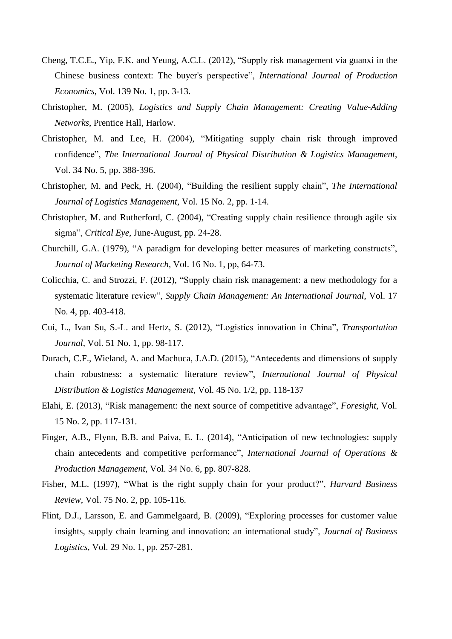- Cheng, T.C.E., Yip, F.K. and Yeung, A.C.L. (2012), "Supply risk management via guanxi in the Chinese business context: The buyer's perspective", *International Journal of Production Economics,* Vol. 139 No. 1, pp. 3-13.
- Christopher, M. (2005), *Logistics and Supply Chain Management: Creating Value-Adding Networks*, Prentice Hall, Harlow.
- Christopher, M. and Lee, H. (2004), "Mitigating supply chain risk through improved confidence", *The International Journal of Physical Distribution & Logistics Management*, Vol. 34 No. 5, pp. 388-396.
- Christopher, M. and Peck, H. (2004), "Building the resilient supply chain", *The International Journal of Logistics Management*, Vol. 15 No. 2, pp. 1-14.
- Christopher, M. and Rutherford, C. (2004), "Creating supply chain resilience through agile six sigma", *Critical Eye*, June-August, pp. 24-28.
- Churchill, G.A. (1979), "A paradigm for developing better measures of marketing constructs", *Journal of Marketing Research*, Vol. 16 No. 1, pp, 64-73.
- Colicchia, C. and Strozzi, F. (2012), "Supply chain risk management: a new methodology for a systematic literature review", *Supply Chain Management: An International Journal*, Vol. 17 No. 4, pp. 403-418.
- Cui, L., Ivan Su, S.-L. and Hertz, S. (2012), "Logistics innovation in China", *Transportation Journal*, Vol. 51 No. 1, pp. 98-117.
- Durach, C.F., Wieland, A. and Machuca, J.A.D. (2015), "Antecedents and dimensions of supply chain robustness: a systematic literature review", *International Journal of Physical Distribution & Logistics Management*, Vol. 45 No. 1/2, pp. 118-137
- Elahi, E. (2013), "Risk management: the next source of competitive advantage", *Foresight*, Vol. 15 No. 2, pp. 117-131.
- Finger, A.B., Flynn, B.B. and Paiva, E. L. (2014), "Anticipation of new technologies: supply chain antecedents and competitive performance", *International Journal of Operations & Production Management*, Vol. 34 No. 6, pp. 807-828.
- Fisher, M.L. (1997), "What is the right supply chain for your product?", *Harvard Business Review*, Vol. 75 No. 2, pp. 105-116.
- Flint, D.J., Larsson, E. and Gammelgaard, B. (2009), "Exploring processes for customer value insights, supply chain learning and innovation: an international study", *Journal of Business Logistics*, Vol. 29 No. 1, pp. 257-281.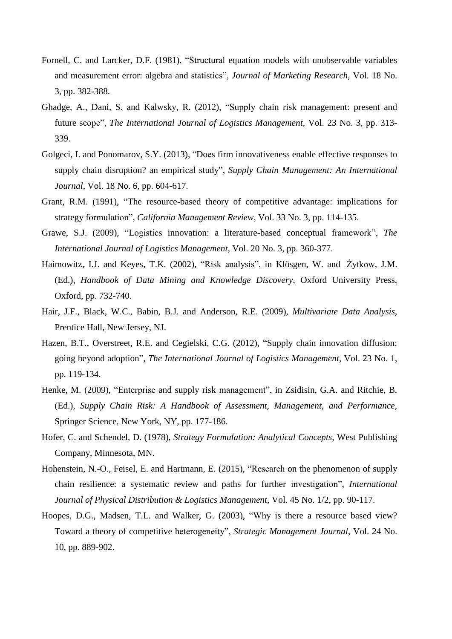- Fornell, C. and Larcker, D.F. (1981), "Structural equation models with unobservable variables and measurement error: algebra and statistics", *Journal of Marketing Research*, Vol. 18 No. 3, pp. 382-388.
- Ghadge, A., Dani, S. and Kalwsky, R. (2012), "Supply chain risk management: present and future scope", *The International Journal of Logistics Management*, Vol. 23 No. 3, pp. 313- 339.
- Golgeci, I. and Ponomarov, S.Y. (2013), "Does firm innovativeness enable effective responses to supply chain disruption? an empirical study", *Supply Chain Management: An International Journal*, Vol. 18 No. 6, pp. 604-617.
- Grant, R.M. (1991), "The resource-based theory of competitive advantage: implications for strategy formulation", *California Management Review*, Vol. 33 No. 3, pp. 114-135.
- Grawe, S.J. (2009), "Logistics innovation: a literature-based conceptual framework", *The International Journal of Logistics Management*, Vol. 20 No. 3, pp. 360-377.
- Haimowitz, I.J. and Keyes, T.K. (2002), "Risk analysis", in Klösgen, W. and Żytkow, J.M. (Ed.), *Handbook of Data Mining and Knowledge Discovery*, Oxford University Press, Oxford, pp. 732-740.
- Hair, J.F., Black, W.C., Babin, B.J. and Anderson, R.E. (2009), *Multivariate Data Analysis*, Prentice Hall, New Jersey, NJ.
- Hazen, B.T., Overstreet, R.E. and Cegielski, C.G. (2012), "Supply chain innovation diffusion: going beyond adoption", *The International Journal of Logistics Management*, Vol. 23 No. 1, pp. 119-134.
- Henke, M. (2009), "Enterprise and supply risk management", in Zsidisin, G.A. and Ritchie, B. (Ed.), *Supply Chain Risk: A Handbook of Assessment, Management, and Performance*, Springer Science, New York, NY, pp. 177-186.
- Hofer, C. and Schendel, D. (1978), *Strategy Formulation: Analytical Concepts*, West Publishing Company, Minnesota, MN.
- Hohenstein, N.-O., Feisel, E. and Hartmann, E. (2015), "Research on the phenomenon of supply chain resilience: a systematic review and paths for further investigation", *International Journal of Physical Distribution & Logistics Management*, Vol. 45 No. 1/2, pp. 90-117.
- Hoopes, D.G., Madsen, T.L. and Walker, G. (2003), "Why is there a resource based view? Toward a theory of competitive heterogeneity", *Strategic Management Journal*, Vol. 24 No. 10, pp. 889-902.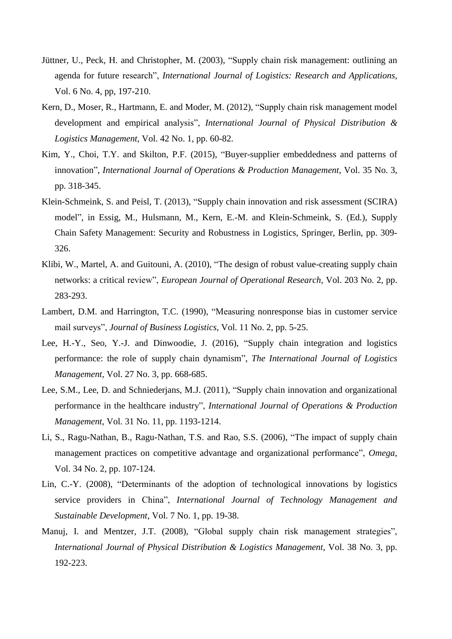- Jüttner, U., Peck, H. and Christopher, M. (2003), "Supply chain risk management: outlining an agenda for future research", *International Journal of Logistics: Research and Applications*, Vol. 6 No. 4, pp, 197-210.
- Kern, D., Moser, R., Hartmann, E. and Moder, M. (2012), "Supply chain risk management model development and empirical analysis", *International Journal of Physical Distribution & Logistics Management*, Vol. 42 No. 1, pp. 60-82.
- Kim, Y., Choi, T.Y. and Skilton, P.F. (2015), "Buyer-supplier embeddedness and patterns of innovation", *International Journal of Operations & Production Management*, Vol. 35 No. 3, pp. 318-345.
- Klein-Schmeink, S. and Peisl, T. (2013), "Supply chain innovation and risk assessment (SCIRA) model", in Essig, M., Hulsmann, M., Kern, E.-M. and Klein-Schmeink, S. (Ed.), Supply Chain Safety Management: Security and Robustness in Logistics, Springer, Berlin, pp. 309- 326.
- Klibi, W., Martel, A. and Guitouni, A. (2010), "The design of robust value-creating supply chain networks: a critical review", *European Journal of Operational Research*, Vol. 203 No. 2, pp. 283-293.
- Lambert, D.M. and Harrington, T.C. (1990), "Measuring nonresponse bias in customer service mail surveys", *Journal of Business Logistics*, Vol. 11 No. 2, pp. 5-25.
- Lee, H.-Y., Seo, Y.-J. and Dinwoodie, J. (2016), "Supply chain integration and logistics performance: the role of supply chain dynamism", *The International Journal of Logistics Management*, Vol. 27 No. 3, pp. 668-685.
- Lee, S.M., Lee, D. and Schniederjans, M.J. (2011), "Supply chain innovation and organizational performance in the healthcare industry", *International Journal of Operations & Production Management*, Vol. 31 No. 11, pp. 1193-1214.
- Li, S., Ragu-Nathan, B., Ragu-Nathan, T.S. and Rao, S.S. (2006), "The impact of supply chain management practices on competitive advantage and organizational performance", *Omega*, Vol. 34 No. 2, pp. 107-124.
- Lin, C.-Y. (2008), "Determinants of the adoption of technological innovations by logistics service providers in China", *International Journal of Technology Management and Sustainable Development*, Vol. 7 No. 1, pp. 19-38.
- Manuj, I. and Mentzer, J.T. (2008), "Global supply chain risk management strategies", *International Journal of Physical Distribution & Logistics Management*, Vol. 38 No. 3, pp. 192-223.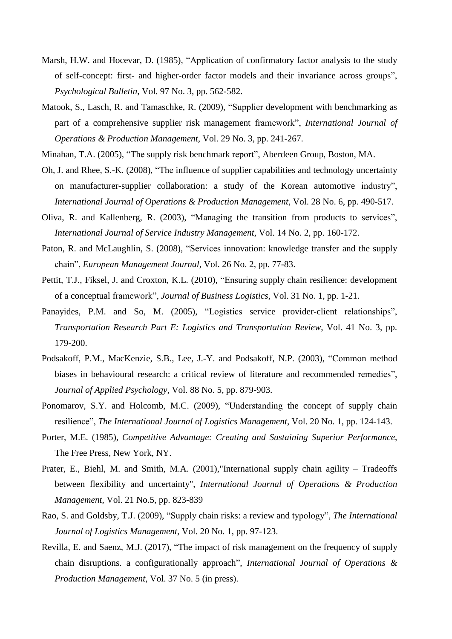- Marsh, H.W. and Hocevar, D. (1985), "Application of confirmatory factor analysis to the study of self-concept: first- and higher-order factor models and their invariance across groups", *Psychological Bulletin*, Vol. 97 No. 3, pp. 562-582.
- Matook, S., Lasch, R. and Tamaschke, R. (2009), "Supplier development with benchmarking as part of a comprehensive supplier risk management framework", *International Journal of Operations & Production Management*, Vol. 29 No. 3, pp. 241-267.
- Minahan, T.A. (2005), "The supply risk benchmark report", Aberdeen Group, Boston, MA.
- Oh, J. and Rhee, S.-K. (2008), "The influence of supplier capabilities and technology uncertainty on manufacturer-supplier collaboration: a study of the Korean automotive industry", *International Journal of Operations & Production Management*, Vol. 28 No. 6, pp. 490-517.
- Oliva, R. and Kallenberg, R. (2003), "Managing the transition from products to services", *International Journal of Service Industry Management*, Vol. 14 No. 2, pp. 160-172.
- Paton, R. and McLaughlin, S. (2008), "Services innovation: knowledge transfer and the supply chain", *European Management Journal*, Vol. 26 No. 2, pp. 77-83.
- Pettit, T.J., Fiksel, J. and Croxton, K.L. (2010), "Ensuring supply chain resilience: development of a conceptual framework", *Journal of Business Logistics*, Vol. 31 No. 1, pp. 1-21.
- Panayides, P.M. and So, M. (2005), "Logistics service provider-client relationships", *Transportation Research Part E: Logistics and Transportation Review*, Vol. 41 No. 3, pp. 179-200.
- Podsakoff, P.M., MacKenzie, S.B., Lee, J.-Y. and Podsakoff, N.P. (2003), "Common method biases in behavioural research: a critical review of literature and recommended remedies", *Journal of Applied Psychology*, Vol. 88 No. 5, pp. 879-903.
- Ponomarov, S.Y. and Holcomb, M.C. (2009), "Understanding the concept of supply chain resilience", *The International Journal of Logistics Management*, Vol. 20 No. 1, pp. 124-143.
- Porter, M.E. (1985), *Competitive Advantage: Creating and Sustaining Superior Performance*, The Free Press, New York, NY.
- Prater, E., Biehl, M. and Smith, M.A. (2001),"International supply chain agility Tradeoffs between flexibility and uncertainty", *International Journal of Operations & Production Management*, Vol. 21 No.5, pp. 823-839
- Rao, S. and Goldsby, T.J. (2009), "Supply chain risks: a review and typology", *The International Journal of Logistics Management*, Vol. 20 No. 1, pp. 97-123.
- Revilla, E. and Saenz, M.J. (2017), "The impact of risk management on the frequency of supply chain disruptions. a configurationally approach", *International Journal of Operations & Production Management*, Vol. 37 No. 5 (in press).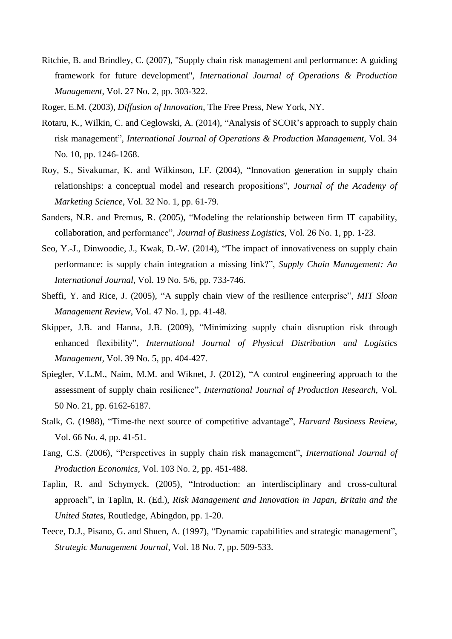- Ritchie, B. and Brindley, C. (2007), "Supply chain risk management and performance: A guiding framework for future development", *International Journal of Operations & Production Management*, Vol. 27 No. 2, pp. 303-322.
- Roger, E.M. (2003), *Diffusion of Innovation*, The Free Press, New York, NY.
- Rotaru, K., Wilkin, C. and Ceglowski, A. (2014), "Analysis of SCOR's approach to supply chain risk management", *International Journal of Operations & Production Management*, Vol. 34 No. 10, pp. 1246-1268.
- Roy, S., Sivakumar, K. and Wilkinson, I.F. (2004), "Innovation generation in supply chain relationships: a conceptual model and research propositions", *Journal of the Academy of Marketing Science*, Vol. 32 No. 1, pp. 61-79.
- Sanders, N.R. and Premus, R. (2005), "Modeling the relationship between firm IT capability, collaboration, and performance", *Journal of Business Logistics*, Vol. 26 No. 1, pp. 1-23.
- Seo, Y.-J., Dinwoodie, J., Kwak, D.-W. (2014), "The impact of innovativeness on supply chain performance: is supply chain integration a missing link?", *Supply Chain Management: An International Journal*, Vol. 19 No. 5/6, pp. 733-746.
- Sheffi, Y. and Rice, J. (2005), "A supply chain view of the resilience enterprise", *MIT Sloan Management Review*, Vol. 47 No. 1, pp. 41-48.
- Skipper, J.B. and Hanna, J.B. (2009), "Minimizing supply chain disruption risk through enhanced flexibility", *International Journal of Physical Distribution and Logistics Management,* Vol. 39 No. 5, pp. 404-427.
- Spiegler, V.L.M., Naim, M.M. and Wiknet, J. (2012), "A control engineering approach to the assessment of supply chain resilience", *International Journal of Production Research*, Vol. 50 No. 21, pp. 6162-6187.
- Stalk, G. (1988), "Time-the next source of competitive advantage", *Harvard Business Review*, Vol. 66 No. 4, pp. 41-51.
- Tang, C.S. (2006), "Perspectives in supply chain risk management", *International Journal of Production Economics*, Vol. 103 No. 2, pp. 451-488.
- Taplin, R. and Schymyck. (2005), "Introduction: an interdisciplinary and cross-cultural approach", in Taplin, R. (Ed.), *Risk Management and Innovation in Japan, Britain and the United States*, Routledge, Abingdon, pp. 1-20.
- Teece, D.J., Pisano, G. and Shuen, A. (1997), "Dynamic capabilities and strategic management", *Strategic Management Journal*, Vol. 18 No. 7, pp. 509-533.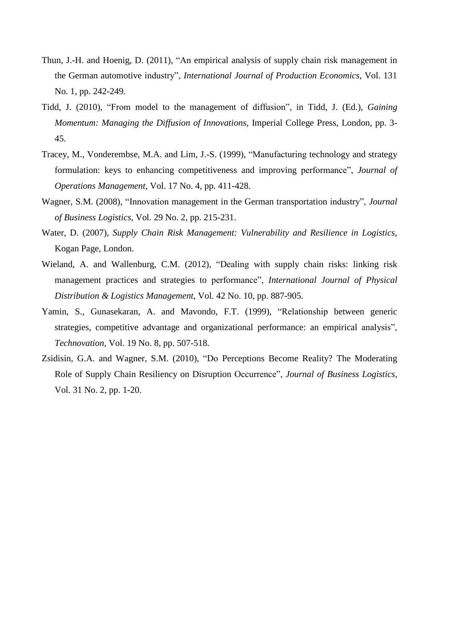- Thun, J.-H. and Hoenig, D. (2011), "An empirical analysis of supply chain risk management in the German automotive industry", *International Journal of Production Economics*, Vol. 131 No. 1, pp. 242-249.
- Tidd, J. (2010), "From model to the management of diffusion", in Tidd, J. (Ed.), *Gaining Momentum: Managing the Diffusion of Innovations*, Imperial College Press, London, pp. 3- 45.
- Tracey, M., Vonderembse, M.A. and Lim, J.-S. (1999), "Manufacturing technology and strategy formulation: keys to enhancing competitiveness and improving performance", *Journal of Operations Management*, Vol. 17 No. 4, pp. 411-428.
- Wagner, S.M. (2008), "Innovation management in the German transportation industry", *Journal of Business Logistics*, Vol. 29 No. 2, pp. 215-231.
- Water, D. (2007), *Supply Chain Risk Management: Vulnerability and Resilience in Logistics*, Kogan Page, London.
- Wieland, A. and Wallenburg, C.M. (2012), "Dealing with supply chain risks: linking risk management practices and strategies to performance", *International Journal of Physical Distribution & Logistics Management*, Vol. 42 No. 10, pp. 887-905.
- Yamin, S., Gunasekaran, A. and Mavondo, F.T. (1999), "Relationship between generic strategies, competitive advantage and organizational performance: an empirical analysis", *Technovation*, Vol. 19 No. 8, pp. 507-518.
- Zsidisin, G.A. and Wagner, S.M. (2010), "Do Perceptions Become Reality? The Moderating Role of Supply Chain Resiliency on Disruption Occurrence", *Journal of Business Logistics,*  Vol. 31 No. 2, pp. 1-20.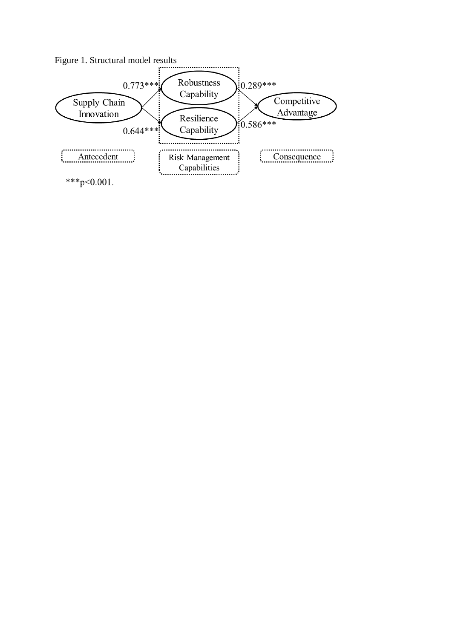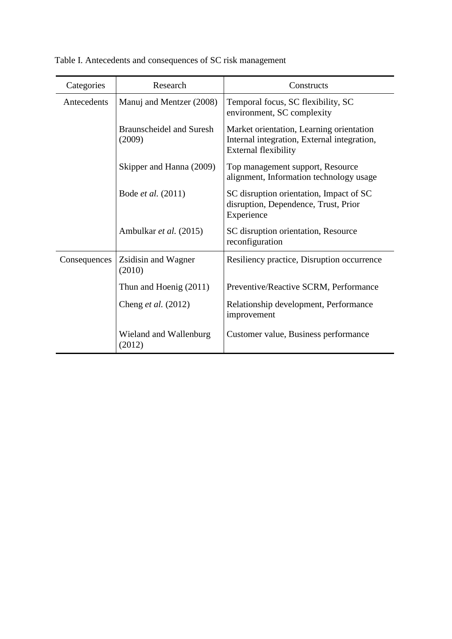| Categories   | Research                                  | Constructs                                                                                                             |
|--------------|-------------------------------------------|------------------------------------------------------------------------------------------------------------------------|
| Antecedents  | Manuj and Mentzer (2008)                  | Temporal focus, SC flexibility, SC<br>environment, SC complexity                                                       |
|              | <b>Braunscheidel and Suresh</b><br>(2009) | Market orientation, Learning orientation<br>Internal integration, External integration,<br><b>External flexibility</b> |
|              | Skipper and Hanna (2009)                  | Top management support, Resource<br>alignment, Information technology usage                                            |
|              | Bode <i>et al.</i> (2011)                 | SC disruption orientation, Impact of SC<br>disruption, Dependence, Trust, Prior<br>Experience                          |
|              | Ambulkar et al. (2015)                    | SC disruption orientation, Resource<br>reconfiguration                                                                 |
| Consequences | Zsidisin and Wagner<br>(2010)             | Resiliency practice, Disruption occurrence                                                                             |
|              | Thun and Hoenig (2011)                    | Preventive/Reactive SCRM, Performance                                                                                  |
|              | Cheng <i>et al.</i> (2012)                | Relationship development, Performance<br>improvement                                                                   |
|              | Wieland and Wallenburg<br>(2012)          | Customer value, Business performance                                                                                   |

# Table I. Antecedents and consequences of SC risk management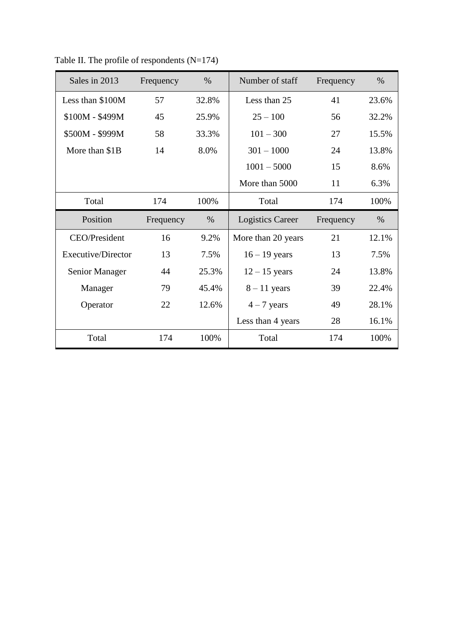| Sales in 2013      | Frequency | $\%$  | Number of staff         | Frequency | $\%$  |
|--------------------|-----------|-------|-------------------------|-----------|-------|
| Less than \$100M   | 57        | 32.8% | Less than 25            | 41        | 23.6% |
| \$100M - \$499M    | 45        | 25.9% | $25 - 100$              | 56        | 32.2% |
| \$500M - \$999M    | 58        | 33.3% | $101 - 300$             | 27        | 15.5% |
| More than \$1B     | 14        | 8.0%  | $301 - 1000$            | 24        | 13.8% |
|                    |           |       | $1001 - 5000$           | 15        | 8.6%  |
|                    |           |       | More than 5000          | 11        | 6.3%  |
| Total              | 174       | 100%  | Total                   | 174       | 100%  |
|                    |           |       |                         |           |       |
| Position           | Frequency | $\%$  | <b>Logistics Career</b> | Frequency | $\%$  |
| CEO/President      | 16        | 9.2%  | More than 20 years      | 21        | 12.1% |
| Executive/Director | 13        | 7.5%  | $16 - 19$ years         | 13        | 7.5%  |
| Senior Manager     | 44        | 25.3% | $12 - 15$ years         | 24        | 13.8% |
| Manager            | 79        | 45.4% | $8 - 11$ years          | 39        | 22.4% |
| Operator           | 22        | 12.6% | $4 - 7$ years           | 49        | 28.1% |
|                    |           |       | Less than 4 years       | 28        | 16.1% |

Table II. The profile of respondents (N=174)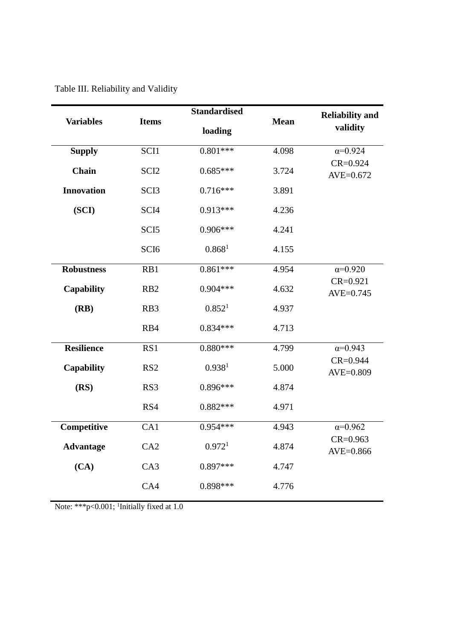| <b>Variables</b>  | <b>Items</b>     | <b>Standardised</b> | <b>Mean</b> | <b>Reliability and</b><br>validity |  |
|-------------------|------------------|---------------------|-------------|------------------------------------|--|
|                   |                  | loading             |             |                                    |  |
| <b>Supply</b>     | SCI1             | $0.801***$          | 4.098       | $\alpha = 0.924$                   |  |
| Chain             | SCI <sub>2</sub> | $0.685***$          | 3.724       | $CR = 0.924$<br>AVE=0.672          |  |
| <b>Innovation</b> | SCI <sub>3</sub> | $0.716***$          | 3.891       |                                    |  |
| (SCI)             | SCI <sub>4</sub> | $0.913***$          | 4.236       |                                    |  |
|                   | SCI <sub>5</sub> | $0.906***$          | 4.241       |                                    |  |
|                   | SCI <sub>6</sub> | 0.868 <sup>1</sup>  | 4.155       |                                    |  |
| <b>Robustness</b> | RB1              | $0.861***$          | 4.954       | $\alpha = 0.920$                   |  |
| <b>Capability</b> | RB <sub>2</sub>  | $0.904***$          | 4.632       | $CR = 0.921$<br>AVE=0.745          |  |
| (RB)              | RB3              | 0.852 <sup>1</sup>  | 4.937       |                                    |  |
|                   | RB4              | $0.834***$          | 4.713       |                                    |  |
| <b>Resilience</b> | RS1              | $0.880***$          | 4.799       | $\alpha = 0.943$                   |  |
| <b>Capability</b> | RS <sub>2</sub>  | 0.938 <sup>1</sup>  | 5.000       | $CR = 0.944$<br>AVE=0.809          |  |
| (RS)              | RS3              | $0.896***$          | 4.874       |                                    |  |
|                   | RS4              | $0.882***$          | 4.971       |                                    |  |
| Competitive       | CA1              | $0.954***$          | 4.943       | $\alpha = 0.962$                   |  |
| <b>Advantage</b>  | CA2              | 0.972 <sup>1</sup>  | 4.874       | $CR = 0.963$<br>AVE=0.866          |  |
| (CA)              | CA3              | $0.897***$          | 4.747       |                                    |  |
|                   | CA4              | $0.898***$          | 4.776       |                                    |  |

Table III. Reliability and Validity

Note: \*\*\*p<0.001; <sup>1</sup>Initially fixed at 1.0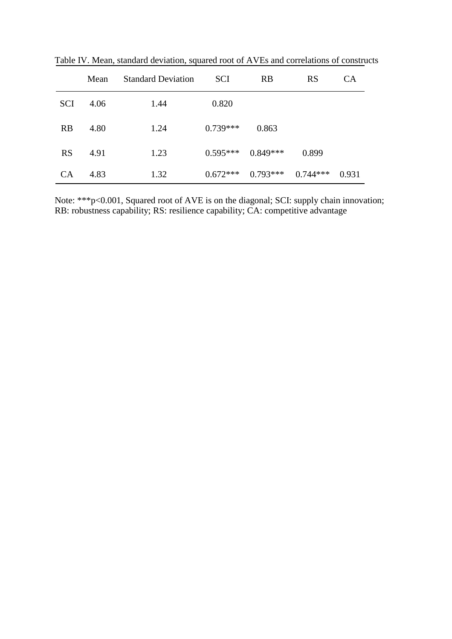|            | Mean | <b>Standard Deviation</b> | <b>SCI</b> | <b>RB</b>  | <b>RS</b>  | <b>CA</b> |
|------------|------|---------------------------|------------|------------|------------|-----------|
| <b>SCI</b> | 4.06 | 1.44                      | 0.820      |            |            |           |
| RB         | 4.80 | 1.24                      | $0.739***$ | 0.863      |            |           |
| <b>RS</b>  | 4.91 | 1.23                      | $0.595***$ | $0.849***$ | 0.899      |           |
| <b>CA</b>  | 4.83 | 1.32                      | $0.672***$ | $0.793***$ | $0.744***$ | 0.931     |

Table IV. Mean, standard deviation, squared root of AVEs and correlations of constructs

Note: \*\*\*p<0.001, Squared root of AVE is on the diagonal; SCI: supply chain innovation; RB: robustness capability; RS: resilience capability; CA: competitive advantage